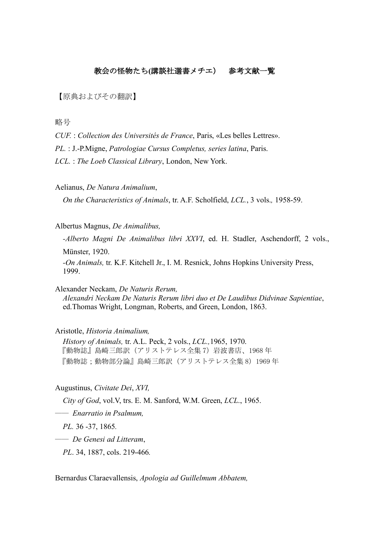## 教会の怪物たち**(**講談社選書メチエ) 参考文献一覧

【原典およびその翻訳】

略号

*CUF.* : *Collection des Universités de France*, Paris, «Les belles Lettres».

*PL.* : J.-P.Migne, *Patrologiae Cursus Completus, series latina*, Paris.

*LCL.* : *The Loeb Classical Library*, London, New York.

Aelianus, *De Natura Animalium*,

*On the Characteristics of Animals*, tr. A.F. Scholfield, *LCL.*, 3 vols.*,* 1958-59.

Albertus Magnus, *De Animalibus,*

*-Alberto Magni De Animalibus libri XXVI*, ed. H. Stadler, Aschendorff, 2 vols.,

Münster, 1920.

*-On Animals,* tr. K.F. Kitchell Jr., I. M. Resnick, Johns Hopkins University Press, 1999.

Alexander Neckam, *De Naturis Rerum,*

*Alexandri Neckam De Naturis Rerum libri duo et De Laudibus Didvinae Sapientiae*, ed.Thomas Wright, Longman, Roberts, and Green, London, 1863.

#### Aristotle, *Historia Animalium,*

*History of Animals,* tr. A.L. Peck, 2 vols., *LCL.,*1965, 1970. 『動物誌』島崎三郎訳(アリストテレス全集 7)岩波書店、1968 年 『動物誌;動物部分論』島崎三郎訳(アリストテレス全集 8)1969 年

Augustinus, *Civitate Dei*, *XVI,*

*City of God*, vol.V, trs. E. M. Sanford, W.M. Green, *LCL*., 1965.

―― *Enarratio in Psalmum,* 

*PL.* 36 -37, 1865*.*

―― *De Genesi ad Litteram*,

*PL*. 34, 1887, cols. 219-466*.*

Bernardus Claraevallensis, *Apologia ad Guillelmum Abbatem,*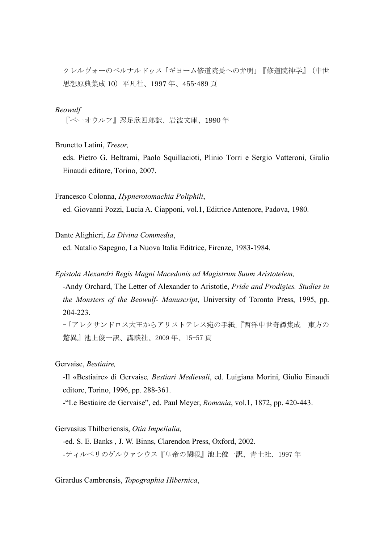クレルヴォーのベルナルドゥス「ギヨーム修道院長への弁明」『修道院神学』(中世 思想原典集成 10)平凡社、1997 年、455-489 頁

### *Beowulf*

『ベーオウルフ』忍足欣四郎訳、岩波文庫、1990 年

Brunetto Latini, *Tresor,*

eds. Pietro G. Beltrami, Paolo Squillacioti, Plinio Torri e Sergio Vatteroni, Giulio Einaudi editore, Torino, 2007.

Francesco Colonna, *Hypnerotomachia Poliphili*,

ed. Giovanni Pozzi, Lucia A. Ciapponi, vol.1, Editrice Antenore, Padova, 1980.

Dante Alighieri, *La Divina Commedia*,

ed. Natalio Sapegno, La Nuova Italia Editrice, Firenze, 1983-1984.

*Epistola Alexandri Regis Magni Macedonis ad Magistrum Suum Aristotelem,*

-Andy Orchard, The Letter of Alexander to Aristotle, *Pride and Prodigies. Studies in the Monsters of the Beowulf- Manuscript*, University of Toronto Press, 1995, pp. 204-223.

-「アレクサンドロス大王からアリストテレス宛の手紙」『西洋中世奇譚集成 東方の 驚異』池上俊一訳、講談社、2009 年、15-57 頁

Gervaise, *Bestiaire,*

-Il «Bestiaire» di Gervaise*, Bestiari Medievali*, ed. Luigiana Morini, Giulio Einaudi editore, Torino, 1996, pp. 288-361.

-"Le Bestiaire de Gervaise", ed. Paul Meyer, *Romania*, vol.1, 1872, pp. 420-443.

Gervasius Thilberiensis, *Otia Impelialia,*

-ed. S. E. Banks , J. W. Binns, Clarendon Press, Oxford, 2002*. -*ティルベリのゲルウァシウス『皇帝の閑暇』池上俊一訳、青土社、1997 年

Girardus Cambrensis, *Topographia Hibernica*,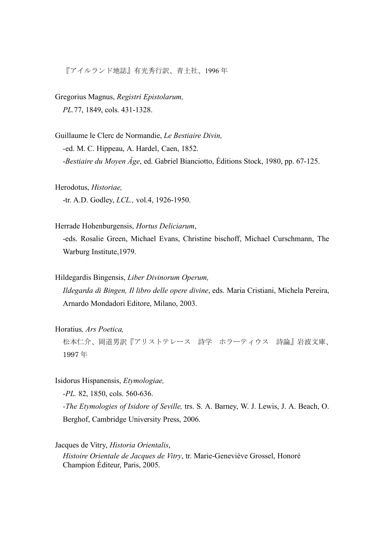『アイルランド地誌』有光秀行訳、青土社、1996 年

Gregorius Magnus, *Registri Epistolarum, PL.*77, 1849, cols. 431-1328.

Guillaume le Clerc de Normandie, *Le Bestiaire Divin, -*ed. M. C. Hippeau, A. Hardel, Caen, 1852. -*Bestiaire du Moyen Âge*, ed. Gabriel Bianciotto, Éditions Stock, 1980, pp. 67-125.

Herodotus, *Historiae,* -tr. A.D. Godley, *LCL.,* vol.4, 1926-1950.

Herrade Hohenburgensis, *Hortus Deliciarum*,

-eds. Rosalie Green, Michael Evans, Christine bischoff, Michael Curschmann, The Warburg Institute,1979.

Hildegardis Bingensis, *Liber Divinorum Operum,*

*Ildegarda di Bingen, Il libro delle opere divine*, eds. Maria Cristiani, Michela Pereira, Arnardo Mondadori Editore, Milano, 2003.

Horatius*, Ars Poetica,*

松本仁介、岡道男訳『アリストテレース 詩学 ホラーティウス 詩論』岩波文庫、 1997 年

Isidorus Hispanensis, *Etymologiae,* 

*-PL.* 82, 1850, cols. 560-636.

*-The Etymologies of Isidore of Seville,* trs. S. A. Barney, W. J. Lewis, J. A. Beach, O. Berghof, Cambridge University Press, 2006.

Jacques de Vitry, *Historia Orientalis*, *Histoire Orientale de Jacques de Vitry*, tr. Marie-Geneviève Grossel, Honoré Champion Éditeur, Paris, 2005.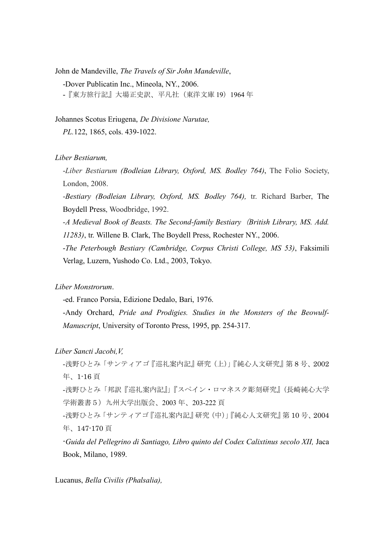John de Mandeville, *The Travels of Sir John Mandeville*,

-Dover Publicatin Inc., Mineola, NY., 2006.

-『東方旅行記』大場正史訳、平凡社(東洋文庫 19)1964 年

Johannes Scotus Eriugena, *De Divisione Narutae,*

*PL.*122, 1865, cols. 439-1022.

#### *Liber Bestiarum,*

-*Liber Bestiarum (Bodleian Library, Oxford, MS. Bodley 764)*, The Folio Society, London, 2008.

-*Bestiary (Bodleian Library, Oxford, MS. Bodley 764),* tr. Richard Barber, The Boydell Press, Woodbridge, 1992.

*-A Medieval Book of Beasts. The Second-family Bestiary*(*British Library, MS. Add. 11283)*, tr. Willene B. Clark, The Boydell Press, Rochester NY., 2006.

-*The Peterbough Bestiary (Cambridge, Corpus Christi College, MS 53)*, Faksimili Verlag, Luzern, Yushodo Co. Ltd., 2003, Tokyo.

*Liber Monstrorum*.

-ed. Franco Porsia, Edizione Dedalo, Bari, 1976.

-Andy Orchard, *Pride and Prodigies. Studies in the Monsters of the Beowulf-Manuscript*, University of Toronto Press, 1995, pp. 254-317.

*Liber Sancti Jacobi,V,*

-浅野ひとみ「サンティアゴ『巡礼案内記』研究(上)」『純心人文研究』第 8 号、2002 年、1-16 頁

-浅野ひとみ「邦訳『巡礼案内記』」『スペイン・ロマネスク彫刻研究』(長崎純心大学 学術叢書5)九州大学出版会、2003 年、203-222 頁

-浅野ひとみ「サンティアゴ『巡礼案内記』研究(中)」『純心人文研究』第 10 号、2004 年、147-170 頁

-*Guida del Pellegrino di Santiago, Libro quinto del Codex Calixtinus secolo XII,* Jaca Book, Milano, 1989.

Lucanus, *Bella Civilis (Phalsalia),*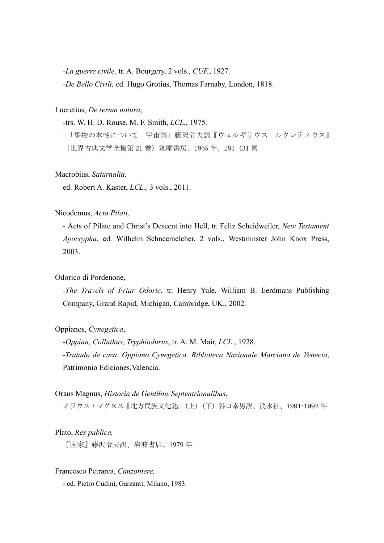*-La guerre civile,* tr. A. Bourgery, 2 vols., *CUF.*, 1927. *-De Bello Civili,* ed. Hugo Grotius, Thomas Farnaby, London, 1818.

Lucretius, *De rerum natura*,

*-*trs. W. H. D. Rouse, M. F. Smith, *LCL.*, 1975.

-「事物の本性について 宇宙論」藤沢令夫訳『ウェルギリウス ルクレティウス』 (世界古典文学全集第 21 巻)筑摩書房、1965 年、291-431 頁

Macrobius, *Saturnalia,* 

ed. Robert A. Kaster, *LCL.,* 3 vols., 2011.

Nicodemus, *Acta Pilati,*

- Acts of Pilate and Christ's Descent into Hell, tr. Feliz Scheidweiler, *New Testament Apocrypha*, ed. Wilhelm Schneemelcher, 2 vols., Westminster John Knox Press, 2003.

#### Odorico di Pordenone,

-*The Travels of Friar Odoric*, tr. Henry Yule, William B. Eerdmans Publishing Company, Grand Rapid, Michigan, Cambridge, UK., 2002.

Oppianos, *Cynegetica*,

*-Oppian, Colluthus, Tryphiodurus*, tr. A. M. Mair, *LCL.*, 1928. -*Tratado de caza. Oppiano Cynegetica. Biblioteca Nazionale Marciana de Venecia*, Patrimonio Ediciones, Valencia.

#### Oraus Magnus, *Historia de Gentibus Septentrionalibus*,

オラウス・マグヌス『北方民族文化誌』(上)(下)谷口幸男訳、渓水社、1991-1992 年

Plato, *Res publica,*

『国家』藤沢令夫訳、岩波書店、1979 年

Francesco Petrarca, *Canzoniere,*

- ed. Pietro Cudini, Garzanti, Milano, 1983.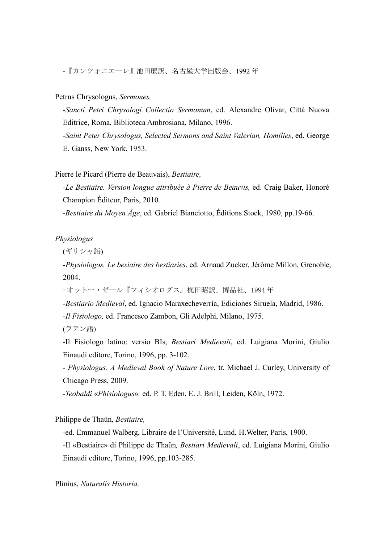-『カンツォニエーレ』池田廉訳、名古屋大学出版会、1992 年

## Petrus Chrysologus, *Sermones,*

*-Sancti Petri Chrysologi Collectio Sermonum*, ed. Alexandre Olivar, Città Nuova Editrice, Roma, Biblioteca Ambrosiana, Milano, 1996.

*-Saint Peter Chrysologus, Selected Sermons and Saint Valerian, Homilies*, ed. George E. Ganss, New York, 1953.

## Pierre le Picard (Pierre de Beauvais), *Bestiaire,*

*-Le Bestiaire. Version longue attribuée à Pierre de Beauvis, ed. Craig Baker, Honoré* Champion Éditeur, Paris, 2010.

-*Bestiaire du Moyen Âge*, ed. Gabriel Bianciotto, Éditions Stock, 1980, pp.19-66.

*Physiologus*

(ギリシャ語)

*-Physiologos. Le besiaire des bestiaries*, ed. Arnaud Zucker, Jérôme Millon, Grenoble, 2004.

-オットー・ゼール『フィシオログス』梶田昭訳、博品社、1994 年

*-Bestiario Medieval*, ed. Ignacio Maraxecheverría, Ediciones Siruela, Madrid, 1986.

*-Il Fisiologo,* ed. Francesco Zambon, Gli Adelphi, Milano, 1975.

(ラテン語)

-Il Fisiologo latino: versio BIs, *Bestiari Medievali*, ed. Luigiana Morini, Giulio Einaudi editore, Torino, 1996, pp. 3-102.

- *Physiologus. A Medieval Book of Nature Lore*, tr. Michael J. Curley, University of Chicago Press, 2009.

-*Teobaldi* «*Phisiologus*»*,* ed. P. T. Eden, E. J. Brill, Leiden, Köln, 1972.

Philippe de Thaün, *Bestiaire,*

-ed. Emmanuel Walberg, Libraire de l'Université, Lund, H.Welter, Paris, 1900.

*-*Il «Bestiaire» di Philippe de Thaün*, Bestiari Medievali*, ed. Luigiana Morini, Giulio Einaudi editore, Torino, 1996, pp.103-285.

Plinius, *Naturalis Historia,*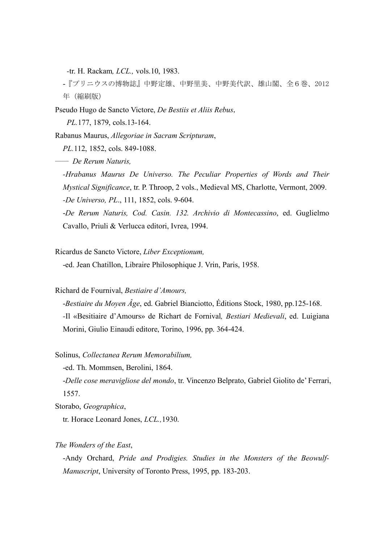*-*tr. H. Rackam*, LCL.,* vols.10, 1983.

-『プリニウスの博物誌』中野定雄、中野里美、中野美代訳、雄山閣、全6巻、2012 年(縮刷版)

Pseudo Hugo de Sancto Victore, *De Bestiis et Aliis Rebus*, *PL.*177, 1879, cols.13-164.

Rabanus Maurus, *Allegoriae in Sacram Scripturam*,

*PL.*112, 1852, cols. 849-1088.

―― *De Rerum Naturis,*

*-Hrabanus Maurus De Universo. The Peculiar Properties of Words and Their Mystical Significance*, tr. P. Throop, 2 vols., Medieval MS, Charlotte, Vermont, 2009. *-De Universo, PL*., 111, 1852, cols. 9-604.

-*De Rerum Naturis, Cod. Casin. 132. Archivio di Montecassino*, ed. Guglielmo Cavallo, Priuli & Verlucca editori, Ivrea, 1994.

Ricardus de Sancto Victore, *Liber Exceptionum,*

-ed. Jean Chatillon, Libraire Philosophique J. Vrin, Paris, 1958.

Richard de Fournival, *Bestiaire d'Amours,*

-*Bestiaire du Moyen Âge*, ed. Gabriel Bianciotto, Éditions Stock, 1980, pp.125-168. *-*Il «Besitiaire d'Amours» de Richart de Fornival*, Bestiari Medievali*, ed. Luigiana Morini, Giulio Einaudi editore, Torino, 1996, pp. 364-424.

Solinus, *Collectanea Rerum Memorabilium,*

-ed. Th. Mommsen, Berolini, 1864.

-*Delle cose meravigliose del mondo*, tr. Vincenzo Belprato, Gabriel Giolito de' Ferrari, 1557.

Storabo, *Geographica*,

tr. Horace Leonard Jones, *LCL.,*1930.

*The Wonders of the East*,

-Andy Orchard, *Pride and Prodigies. Studies in the Monsters of the Beowulf-Manuscript*, University of Toronto Press, 1995, pp. 183-203.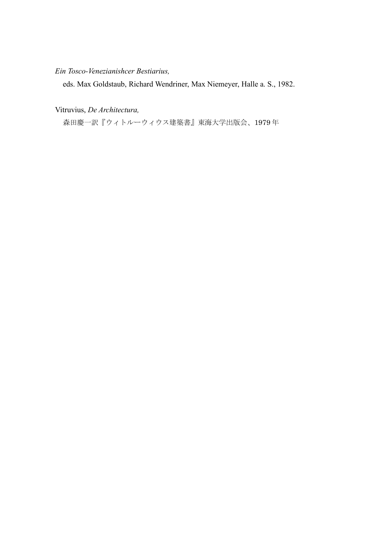## *Ein Tosco-Venezianishcer Bestiarius,*

eds. Max Goldstaub, Richard Wendriner, Max Niemeyer, Halle a. S., 1982.

Vitruvius, *De Architectura,*

森田慶一訳『ウィトルーウィウス建築書』東海大学出版会、1979 年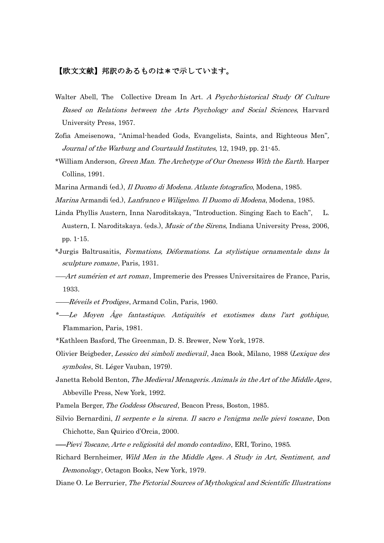## 【欧文文献】邦訳のあるものは\*で示しています。

- Walter Abell, The Collective Dream In Art. A Psycho-historical Study Of Culture Based on Relations between the Arts Psychology and Social Sciences, Harvard University Press, 1957.
- Zofia Ameisenowa, "Animal-headed Gods, Evangelists, Saints, and Righteous Men", Journal of the Warburg and Courtauld Institutes, 12, 1949, pp. 21-45.
- \*William Anderson, Green Man. The Archetype of Our Oneness With the Earth. Harper Collins, 1991.
- Marina Armandi (ed.), *Il Duomo di Modena. Atlante fotografico*, Modena, 1985.
- Marina Armandi (ed.), Lanfranco e Wiligelmo. Il Duomo di Modena, Modena, 1985.
- Linda Phyllis Austern, Inna Naroditskaya, "Introduction. Singing Each to Each", L. Austern, I. Naroditskaya. (eds.), *Music of the Sirens*, Indiana University Press, 2006, pp. 1-15.
- \*Jurgis Baltrusaitis, Formations, Déformations. La stylistique ornamentale dans la sculpture romane, Paris, 1931.
- ――Art sumérien et art roman, Impremerie des Presses Universitaires de France, Paris, 1933.
- ——Réveils et Prodiges, Armand Colin, Paris, 1960.
- \*――Le Moyen Âge fantastique. Antiquités et exotismes dans l'art gothique, Flammarion, Paris, 1981.
- \*Kathleen Basford, The Greenman, D. S. Brewer, New York, 1978.
- Olivier Beigbeder, Lessico dei simboli medievail, Jaca Book, Milano, 1988 (Lexique des symboles, St. Léger Vauban, 1979).
- Janetta Rebold Benton, The Medieval Menageris. Animals in the Art of the Middle Ages, Abbeville Press, New York, 1992.
- Pamela Berger, The Goddess Obscured, Beacon Press, Boston, 1985.
- Silvio Bernardini, Il serpente e la sirena. Il sacro e l'enigma nelle pievi toscane, Don Chichotte, San Quirico d'Orcia, 2000.
- ――Pievi Toscane, Arte e religiosità del mondo contadino, ERI, Torino, 1985.
- Richard Bernheimer, Wild Men in the Middle Ages. A Study in Art, Sentiment, and Demonology, Octagon Books, New York, 1979.
- Diane O. Le Berrurier, The Pictorial Sources of Mythological and Scientific Illustrations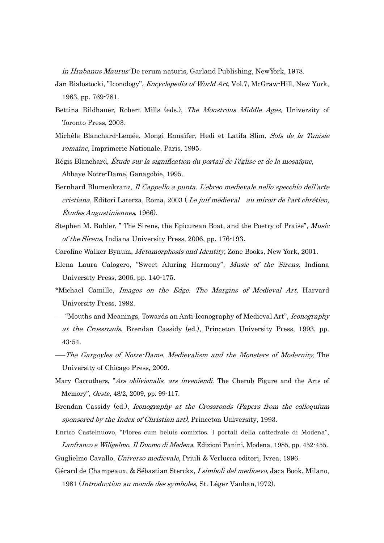in Hrabanus Maurus' De rerum naturis, Garland Publishing, NewYork, 1978.

- Jan Bialostocki, "Iconology", *Encyclopedia of World Art*, Vol.7, McGraw-Hill, New York, 1963, pp. 769-781.
- Bettina Bildhauer, Robert Mills (eds.), The Monstrous Middle Ages, University of Toronto Press, 2003.
- Michèle Blanchard-Lemée, Mongi Ennaïfer, Hedi et Latifa Slim, Sols de la Tunisie romaine, Imprimerie Nationale, Paris, 1995.
- Régis Blanchard, Étude sur la signification du portail de l'église et de la mosaïque, Abbaye Notre-Dame, Ganagobie, 1995.
- Bernhard Blumenkranz, Il Cappello a punta. L'ebreo medievale nello specchio dell'arte cristiana, Editori Laterza, Roma, 2003 ( Le juif médieval au miroir de l'art chrétien, Études Augustiniennes, 1966).
- Stephen M. Buhler, " The Sirens, the Epicurean Boat, and the Poetry of Praise", Music of the Sirens, Indiana University Press, 2006, pp. 176-193.
- Caroline Walker Bynum, Metamorphosis and Identity, Zone Books, New York, 2001.
- Elena Laura Calogero, "Sweet Aluring Harmony", Music of the Sirens, Indiana University Press, 2006, pp. 140-175.
- \*Michael Camille, Images on the Edge. The Margins of Medieval Art, Harvard University Press, 1992.
- "Mouths and Meanings, Towards an Anti-Iconography of Medieval Art", *Iconography* at the Crossroads, Brendan Cassidy (ed.), Princeton University Press, 1993, pp. 43-54.
- ――The Gargoyles of Notre-Dame. Medievalism and the Monsters of Modernity, The University of Chicago Press, 2009.
- Mary Carruthers, "Ars oblivionalis, ars inveniendi. The Cherub Figure and the Arts of Memory", Gesta, 48/2, 2009, pp. 99-117.
- Brendan Cassidy (ed.), Iconography at the Crossroads (Papers from the colloquium sponsored by the Index of Christian art), Princeton University, 1993.
- Enrico Castelnuovo, "Flores cum beluis comixtos. I portali della cattedrale di Modena", Lanfranco e Wiligelmo. Il Duomo di Modena, Edizioni Panini, Modena, 1985, pp. 452-455.
- Guglielmo Cavallo, Universo medievale, Priuli & Verlucca editori, Ivrea, 1996.
- Gérard de Champeaux, & Sébastian Sterckx, I simboli del medioevo, Jaca Book, Milano, 1981 (Introduction au monde des symboles, St. Léger Vauban,1972).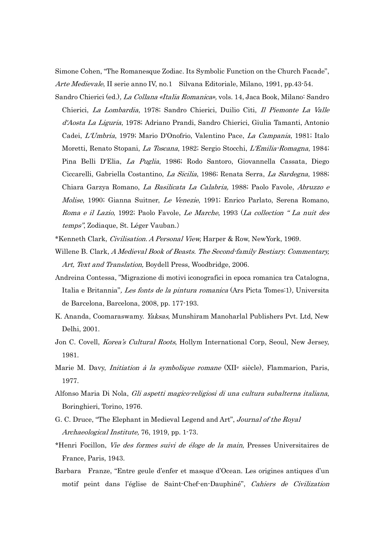Simone Cohen, "The Romanesque Zodiac. Its Symbolic Function on the Church Facade", Arte Medievale, II serie anno IV, no.1 Silvana Editoriale, Milano, 1991, pp.43-54.

Sandro Chierici (ed.), La Collana «Italia Romanica», vols. 14, Jaca Book, Milano: Sandro Chierici, La Lombardia, 1978; Sandro Chierici, Duilio Citi, Il Piemonte La Valle d'Aosta La Liguria, 1978; Adriano Prandi, Sandro Chierici, Giulia Tamanti, Antonio Cadei, L'Umbria, 1979; Mario D'Onofrio, Valentino Pace, La Campania, 1981; Italo Moretti, Renato Stopani, La Toscana, 1982; Sergio Stocchi, L'Emilia-Romagna, 1984; Pina Belli D'Elia, La Puglia, 1986; Rodo Santoro, Giovannella Cassata, Diego Ciccarelli, Gabriella Costantino, La Sicilia, 1986; Renata Serra, La Sardegna, 1988; Chiara Garzya Romano, La Basilicata La Calabria, 1988; Paolo Favole, Abruzzo e Molise, 1990; Gianna Suitner, Le Venezie, 1991; Enrico Parlato, Serena Romano, Roma e il Lazio, 1992; Paolo Favole, Le Marche, 1993 (La collection " La nuit des temps", Zodiaque, St. Léger Vauban.)

- \*Kenneth Clark, Civilisation. A Personal View, Harper & Row, NewYork, 1969.
- Willene B. Clark, A Medieval Book of Beasts. The Second-family Bestiary. Commentary, Art, Text and Translation, Boydell Press, Woodbridge, 2006.
- Andreina Contessa, "Migrazione di motivi iconografici in epoca romanica tra Catalogna, Italia e Britannia", Les fonts de la pintura romanica (Ars Picta Tomes:1), Universita de Barcelona, Barcelona, 2008, pp. 177-193.
- K. Ananda, Coomaraswamy. *Yaksas*, Munshiram Manoharlal Publishers Pvt. Ltd, New Delhi, 2001.
- Jon C. Covell, Korea's Cultural Roots, Hollym International Corp, Seoul, New Jersey, 1981.
- Marie M. Davy, *Initiation à la symbolique romane* (XII<sup>e</sup> siècle), Flammarion, Paris, 1977.
- Alfonso Maria Di Nola, Gli aspetti magico-religiosi di una cultura subalterna italiana, Boringhieri, Torino, 1976.
- G. C. Druce, "The Elephant in Medieval Legend and Art", Journal of the Royal Archaeological Institute, 76, 1919, pp. 1-73.
- \*Henri Focillon, Vie des formes suivi de éloge de la main, Presses Universitaires de France, Paris, 1943.
- Barbara Franze, "Entre geule d'enfer et masque d'Ocean. Les origines antiques d'un motif peint dans l'église de Saint-Chef-en-Dauphiné", Cahiers de Civilization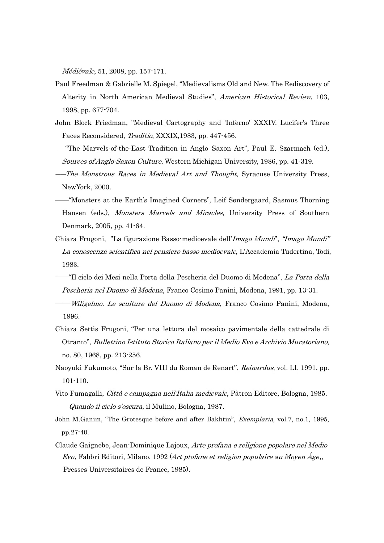Médiévale, 51, 2008, pp. 157-171.

- Paul Freedman & Gabrielle M. Spiegel, "Medievalisms Old and New. The Rediscovery of Alterity in North American Medieval Studies", American Historical Review, 103, 1998, pp. 677-704.
- John Block Friedman, "Medieval Cartography and 'Inferno' XXXIV. Lucifer's Three Faces Reconsidered, Traditio, XXXIX,1983, pp. 447-456.
- ――"The Marvels-of-the-East Tradition in Anglo–Saxon Art", Paul E. Szarmach (ed.), Sources of Anglo-Saxon Culture, Western Michigan University, 1986, pp. 41-319.
- ――The Monstrous Races in Medieval Art and Thought, Syracuse University Press, NewYork, 2000.
- ——"Monsters at the Earth's Imagined Corners", Leif Søndergaard, Sasmus Thorning Hansen (eds.), *Monsters Marvels and Miracles*, University Press of Southern Denmark, 2005, pp. 41-64.
- Chiara Frugoni, "La figurazione Basso-medioevale dell'Imago Mundi", "Imago Mundi" La conoscenza scientifica nel pensiero basso medioevale, L'Accademia Tudertina, Todi, 1983.
- ――"Il ciclo dei Mesi nella Porta della Pescheria del Duomo di Modena", La Porta della Pescheria nel Duomo di Modena, Franco Cosimo Panini, Modena, 1991, pp. 13-31.
- -*Wiligelmo. Le sculture del Duomo di Modena*, Franco Cosimo Panini, Modena, 1996.
- Chiara Settis Frugoni, "Per una lettura del mosaico pavimentale della cattedrale di Otranto", Bullettino Istituto Storico Italiano per il Medio Evo e Archivio Muratoriano, no. 80, 1968, pp. 213-256.
- Naoyuki Fukumoto, "Sur la Br. VIII du Roman de Renart", Reinardus, vol. LI, 1991, pp. 101-110.
- Vito Fumagalli, *Città e campagna nell'Italia medievale*, Pàtron Editore, Bologna, 1985. ——Quando il cielo s'oscura, il Mulino, Bologna, 1987.
- John M.Ganim, "The Grotesque before and after Bakhtin", Exemplaria, vol.7, no.1, 1995, pp.27-40.
- Claude Gaignebe, Jean-Dominique Lajoux, Arte profana e religione popolare nel Medio Evo, Fabbri Editori, Milano, 1992 (Art ptofane et religion populaire au Moyen Âge,, Presses Universitaires de France, 1985).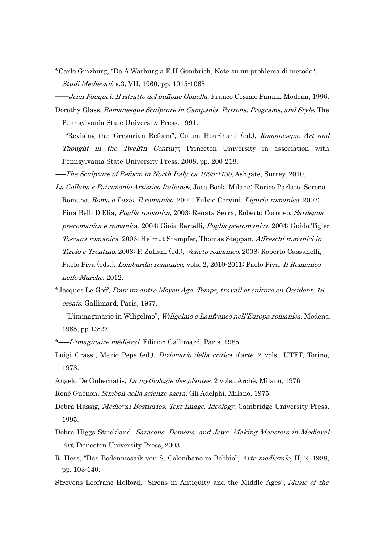- \*Carlo Ginzburg, "Da A.Warburg a E.H.Gombrich, Note su un problema di metodo", Studi Medievali, s.3, VII, 1960, pp. 1015-1065.
- ――Jean Fouquet. Il ritratto del buffone Gonella, Franco Cosimo Panini, Modena, 1996.
- Dorothy Glass, Romanesque Sculpture in Campania, Patrons, Programs, and Style, The Pennsylvania State University Press, 1991.
- ――"Revising the 'Gregorian Reform", Colum Hourihane (ed.), Romanesque Art and Thought in the Twelfth Century, Princeton University in association with Pennsylvania State University Press, 2008, pp. 200-218.
- ――The Sculpture of Reform in North Italy, ca 1095-1130, Ashgate, Surrey, 2010.
- La Collana « Patrimonio Artistico Italiano», Jaca Book, Milano: Enrico Parlato, Serena Romano, Roma e Lazio. Il romanico, 2001; Fulvio Cervini, Liguria romanica, 2002; Pina Belli D'Elia, Puglia romanica, 2003; Renata Serra, Roberto Coroneo, Sardegna preromanica e romanica, 2004; Gioia Bertelli, Puglia preromanica, 2004; Guido Tigler, Toscana romanica, 2006; Helmut Stampfer, Thomas Steppan, Affreschi romanici in Tirolo e Trentino, 2008; F. Zuliani (ed.), Veneto romanico, 2008; Roberto Cassanelli, Paolo Piva (eds.), Lombardia romanica, vols. 2, 2010-2011; Paolo Piva, Il Romanico nelle Marche, 2012.
- \*Jacques Le Goff, Pour un autre Moyen Age. Temps, travail et culture en Occident. <sup>18</sup> essais, Gallimard, Paris, 1977.
- ――"L'immaginario in Wiligelmo", Wiligelmo e Lanfranco nell'Europa romanica, Modena, 1985, pp.13-22.
- \*—L'imaginaire médiéval, Édition Gallimard, Paris, 1985.
- Luigi Grassi, Mario Pepe (ed.), *Dizionario della critica d'arte*, 2 vols., UTET, Torino, 1978.
- Angelo De Gubernatis, La mythologie des plantes, 2 vols., Archè, Milano, 1976.
- René Guénon, Simboli della scienza sacra, Gli Adelphi, Milano, 1975.
- Debra Hassig, *Medieval Bestiaries. Text Image, Ideology*, Cambridge University Press, 1995.
- Debra Higgs Strickland, Saracens, Demons, and Jews. Making Monsters in Medieval Art, Princeton University Press, 2003.
- R. Hess, "Das Bodenmosaik von S. Colombano in Bobbio", Arte medievale, II, 2, 1988, pp. 103-140.
- Strevens Leofranc Holford, "Sirens in Antiquity and the Middle Ages", Music of the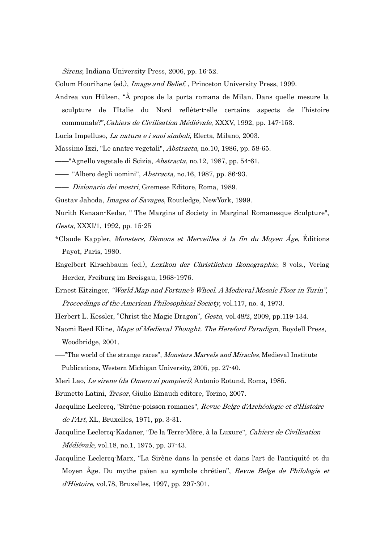Sirens, Indiana University Press, 2006, pp. 16-52.

Colum Hourihane (ed.), *Image and Belief*, Princeton University Press, 1999.

Andrea von Hülsen, "À propos de la porta romana de Milan. Dans quelle mesure la sculpture de l'Italie du Nord reflète-t-elle certains aspects de l'histoire communale?",Cahiers de Civilisation Médiévale, XXXV, 1992, pp. 147-153.

Lucia Impelluso, La natura e i suoi simboli, Electa, Milano, 2003.

Massimo Izzi, "Le anatre vegetali", *Abstracta*, no.10, 1986, pp. 58-65.

——"Agnello vegetale di Scizia, *Abstracta*, no.12, 1987, pp. 54-61.

— "Albero degli uomini", *Abstracta*, no.16, 1987, pp. 86-93.

―― Dizionario dei mostri, Gremese Editore, Roma, 1989.

Gustav Jahoda, Images of Savages, Routledge, NewYork, 1999.

Nurith Kenaan-Kedar, " The Margins of Society in Marginal Romanesque Sculpture", Gesta, XXXI/1, 1992, pp. 15-25

- \*Claude Kappler, Monsters, Dèmons et Merveilles à la fin du Moyen Âge, Éditions Payot, Paris, 1980.
- Engelbert Kirschbaum (ed.), Lexikon der Christlichen Ikonographie, 8 vols., Verlag Herder, Freiburg im Breisgau, 1968-1976.
- Ernest Kitzinger, "World Map and Fortune's Wheel. A Medieval Mosaic Floor in Turin", Proceedings of the American Philosophical Society, vol.117, no. 4, 1973.
- Herbert L. Kessler, "Christ the Magic Dragon", Gesta, vol.48/2, 2009, pp.119-134.

Naomi Reed Kline, Maps of Medieval Thought. The Hereford Paradigm, Boydell Press, Woodbridge, 2001.

— "The world of the strange races", *Monsters Marvels and Miracles*, Medieval Institute Publications, Western Michigan University, 2005, pp. 27-40.

Meri Lao, Le sirene (da Omero ai pompieri), Antonio Rotund, Roma, 1985.

Brunetto Latini, Tresor, Giulio Einaudi editore, Torino, 2007.

- Jacquline Leclercq, "Sirène-poisson romanes", Revue Belge d'Archéologie et d'Histoire de l'Art, XL, Bruxelles, 1971, pp. 3-31.
- Jacquline Leclercq-Kadaner, "De la Terre-Mère, à la Luxure", Cahiers de Civilisation Médiévale, vol.18, no.1, 1975, pp. 37-43.
- Jacquline Leclercq-Marx, "La Sirène dans la pensée et dans l'art de l'antiquité et du Moyen Âge. Du mythe païen au symbole chrétien", Revue Belge de Philologie et d'Histoire, vol.78, Bruxelles, 1997, pp. 297-301.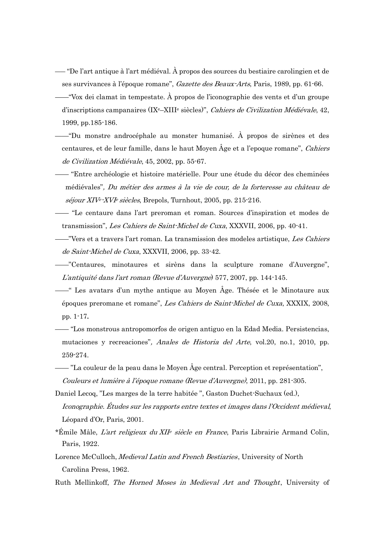- ―― "De l'art antique à l'art médiéval. À propos des sources du bestiaire carolingien et de ses survivances à l'époque romane", Gazette des Beaux-Arts, Paris, 1989, pp. 61-66.
- ——"Vox dei clamat in tempestate. À propos de l'iconographie des vents et d'un groupe d'inscriptions campanaires (IXe–XIII<sup>e</sup> siècles)", Cahiers de Civilization Médiévale, 42, 1999, pp.185-186.
- ——"Du monstre androcéphale au monster humanisé. À propos de sirènes et des centaures, et de leur famille, dans le haut Moyen Âge et a l'epoque romane", Cahiers de Civilization Médiévale, 45, 2002, pp. 55-67.
- —— "Entre archéologie et histoire matérielle. Pour une étude du décor des cheminées médiévales", Du métier des armes à la vie de cour, de la forteresse au château de séjour XIV<sup>e</sup> -XVIe siècles, Brepols, Turnhout, 2005, pp. 215-216.
- —— "Le centaure dans l'art preroman et roman. Sources d'inspiration et modes de transmission", Les Cahiers de Saint-Michel de Cuxa, XXXVII, 2006, pp. 40-41.
- ——"Vers et a travers l'art roman. La transmission des modeles artistique, Les Cahiers de Saint-Michel de Cuxa, XXXVII, 2006, pp. 33-42.
- ——"Centaures, minotaures et sirèns dans la sculpture romane d'Auvergne", L'antiquité dans l'art roman (Revue d'Auvergne) 577, 2007, pp. 144-145.
- ——" Les avatars d'un mythe antique au Moyen Âge. Thésée et le Minotaure aux époques preromane et romane", Les Cahiers de Saint-Michel de Cuxa, XXXIX, 2008, pp. 1-17.
- —— "Los monstrous antropomorfos de origen antiguo en la Edad Media. Persistencias, mutaciones y recreaciones", Anales de Historia del Arte, vol.20, no.1, 2010, pp. 259-274.
- —— "La couleur de la peau dans le Moyen Âge central. Perception et représentation", Couleurs et lumière à l'époque romane (Revue d'Auvergne), 2011, pp. 281-305.
- Daniel Lecoq, "Les marges de la terre habitée ", Gaston Duchet-Suchaux (ed.), Iconographie. Études sur les rapports entre textes et images dans l'Occident médieval, Léopard d'Or, Paris, 2001.
- \*Émile Mâle, L'art religieux du XII<sup>e</sup> siècle en France, Paris Librairie Armand Colin, Paris, 1922.
- Lorence McCulloch, Medieval Latin and French Bestiaries, University of North Carolina Press, 1962.
- Ruth Mellinkoff, The Horned Moses in Medieval Art and Thought, University of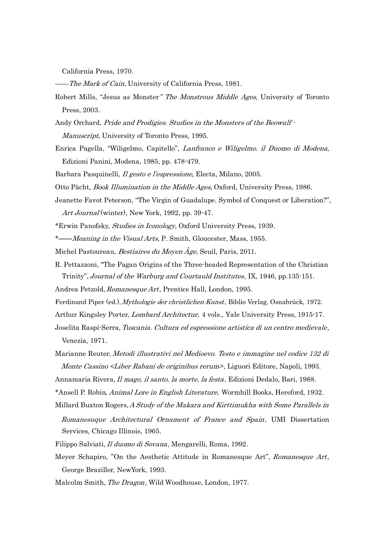California Press, 1970.

- -The Mark of Cain, University of California Press, 1981.
- Robert Mills, "Jesus as Monster" The Monstrous Middle Ages, University of Toronto Press, 2003.
- Andy Orchard, Pride and Prodigies. Studies in the Monsters of the Beowulf Manuscript, University of Toronto Press, 1995.
- Enrica Pagella, "Wiligelmo, Capitello", Lanfranco e Wiligelmo. il Duomo di Modena, Edizioni Panini, Modena, 1985, pp. 478-479.
- Barbara Pasquinelli, Il gesto e l'espressione, Electa, Milano, 2005.
- Otto Pächt, Book Illumination in the Middle Ages, Oxford, University Press, 1986.
- Jeanette Favot Peterson, "The Virgin of Guadalupe. Symbol of Conquest or Liberation?", Art Journal (winter), New York, 1992, pp. 39-47.
- \*Erwin Panofsky, Studies in Iconology, Oxford University Press, 1939.
- \*——Meaning in the Visual Arts, P. Smith, Gloucester, Mass, 1955.
- Michel Pastoureau, *Bestiaires du Moyen Âge*, Seuil, Paris, 2011.
- R. Pettazzoni, "The Pagan Origins of the Three-headed Representation of the Christian Trinity", Journal of the Warburg and Courtauld Institutes, IX, 1946, pp.135-151.
- Andrea Petzold, Romanesque Art, Prentice Hall, London, 1995.
- Ferdinand Piper (ed.), Mythologie der christlichen Kunst, Biblio Verlag, Osnabrück, 1972.
- Arthur Kingsley Porter, *Lombard Architectur*, 4 vols., Yale University Press, 1915-17.
- Joselita Raspi-Serra, Tuscania. Cultura ed espressione artistica di un centro medievale, Venezia, 1971.
- Marianne Reuter, Metodi illustrativi nel Medioevo. Testo e immagine nel codice 132 di Monte Cassino <Liber Rabani de originibus rerum>, Liguori Editore, Napoli, 1993.
- Annamaria Rivera, Il mago, il santo, la morte, la festa, Edizioni Dedalo, Bari, 1988.
- \*Ansell P. Robin, Animal Lore in English Literature, Wormhill Books, Hereford, 1932.
- Millard Buxton Rogers, A Study of the Makara and Kirttimukha with Some Parallels in
	- Romanesuque Architectural Ornament of France and Spain, UMI Dissertation Services, Chicago Illinois, 1965.
- Filippo Salviati, Il duomo di Sovana, Mengarelli, Roma, 1992.
- Meyer Schapiro, "On the Aesthetic Attitude in Romanesque Art", Romanesque Art, George Braziller, NewYork, 1993.
- Malcolm Smith, The Dragon, Wild Woodhouse, London, 1977.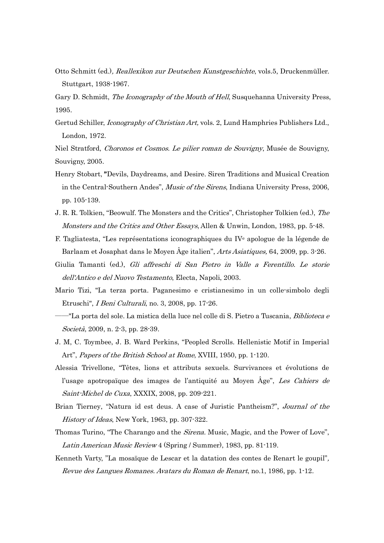- Otto Schmitt (ed.), Reallexikon zur Deutschen Kunstgeschichte, vols.5, Druckenmüller. Stuttgart, 1938-1967.
- Gary D. Schmidt, *The Iconography of the Mouth of Hell*, Susquehanna University Press, 1995.
- Gertud Schiller, *Iconography of Christian Art*, vols. 2, Lund Hamphries Publishers Ltd., London, 1972.

Niel Stratford, Choronos et Cosmos. Le pilier roman de Souvigny, Musée de Souvigny, Souvigny, 2005.

- Henry Stobart, "Devils, Daydreams, and Desire. Siren Traditions and Musical Creation in the Central-Southern Andes", Music of the Sirens, Indiana University Press, 2006, pp. 105-139.
- J. R. R. Tolkien, "Beowulf. The Monsters and the Critics", Christopher Tolkien (ed.), The Monsters and the Critics and Other Essays, Allen & Unwin, London, 1983, pp. 5-48.
- F. Tagliatesta, "Les représentations iconographiques du IVe apologue de la légende de Barlaam et Josaphat dans le Moyen Âge italien", Arts Asiatiques, 64, 2009, pp. 3-26.
- Giulia Tamanti (ed.), Gli affreschi di San Pietro in Valle a Ferentillo. Le storie dell'Antico e del Nuovo Testamento, Electa, Napoli, 2003.
- Mario Tizi, "La terza porta. Paganesimo e cristianesimo in un colle-simbolo degli Etruschi", I Beni Culturali, no. 3, 2008, pp. 17-26.
- ――"La porta del sole. La mistica della luce nel colle di S. Pietro a Tuscania, Biblioteca e Società, 2009, n. 2-3, pp. 28-39.
- J. M, C. Toymbee, J. B. Ward Perkins, "Peopled Scrolls. Hellenistic Motif in Imperial Art", Papers of the British School at Rome, XVIII, 1950, pp. 1-120.
- Alessia Trivellone, "Têtes, lions et attributs sexuels. Survivances et évolutions de l'usage apotropaïque des images de l'antiquité au Moyen Âge", Les Cahiers de Saint-Michel de Cuxa, XXXIX, 2008, pp. 209-221.
- Brian Tierney, "Natura id est deus. A case of Juristic Pantheism?", *Journal of the* History of Ideas, New York, 1963, pp. 307-322.
- Thomas Turino, "The Charango and the *Sirena*. Music, Magic, and the Power of Love", Latin American Music Review 4 (Spring / Summer), 1983, pp. 81-119.
- Kenneth Varty, "La mosaïque de Lescar et la datation des contes de Renart le goupil", Revue des Langues Romanes. Avatars du Roman de Renart, no.1, 1986, pp. 1-12.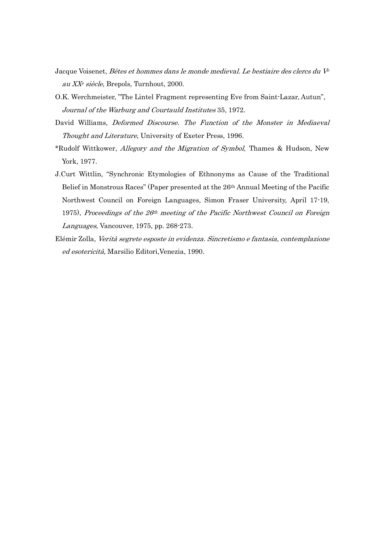- Jacque Voisenet, Bêtes et hommes dans le monde medieval. Le bestiaire des clercs du V<sup>e</sup> au XX<sup>e</sup> siècle, Brepols, Turnhout, 2000.
- O.K. Werchmeister, "The Lintel Fragment representing Eve from Saint-Lazar, Autun", Journal of the Warburg and Courtauld Institutes 35, 1972.
- David Williams, Deformed Discourse. The Function of the Monster in Mediaeval Thought and Literature, University of Exeter Press, 1996.
- \*Rudolf Wittkower, Allegory and the Migration of Symbol, Thames & Hudson, New York, 1977.
- J.Curt Wittlin, "Synchronic Etymologies of Ethnonyms as Cause of the Traditional Belief in Monstrous Races" (Paper presented at the 26th Annual Meeting of the Pacific Northwest Council on Foreign Languages, Simon Fraser University, April 17-19, 1975), Proceedings of the  $26<sup>th</sup>$  meeting of the Pacific Northwest Council on Foreign Languages, Vancouver, 1975, pp. 268-273.
- Elémir Zolla, Verità segrete esposte in evidenza. Sincretismo e fantasia, contemplazione ed esotericità, Marsilio Editori,Venezia, 1990.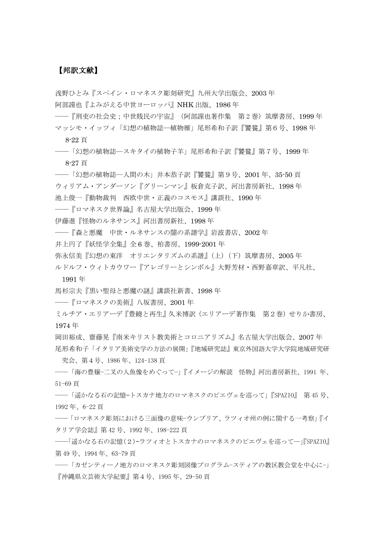# 【邦訳文献】

浅野ひとみ『スペイン・ロマネスク彫刻研究』九州大学出版会、2003 年 阿部謹也『よみがえる中世ヨーロッパ』NHK 出版、1986 年

―『刑吏の社会史;中世賎民の宇宙』(阿部謹也著作集 第2巻)筑摩書房、1999 年 マッシモ・イッツィ「幻想の植物誌―植物雁」尾形希和子訳『饕餮』第6号、1998 年

8-22 頁

――「幻想の植物誌―スキタイの植物子羊」尾形希和子訳『饕餮』第7号、1999 年 8-27 頁

――「幻想の植物誌―人間の木」井本恭子訳『饕餮』第9号、2001 年、35-50 頁 ウィリアム・アンダーソン『グリーンマン』板倉克子訳、河出書房新社、1998 年 池上俊一『動物裁判 西欧中世・正義のコスモス』講談社、1990 年

――『ロマネスク世界論』名古屋大学出版会、1999 年

伊藤進『怪物のルネサンス』河出書房新社、1998 年

――『森と悪魔 中世・ルネサンスの闇の系譜学』岩波書店、2002 年

井上円了『妖怪学全集』全 6 巻、柏書房、1999-2001 年

弥永信美『幻想の東洋 オリエンタリズムの系譜』(上)(下)筑摩書房、2005年

ルドルフ・ウィトカウワー『アレゴリーとシンボル』大野芳材・西野嘉章訳、平凡社、

1991 年

馬杉宗夫『黒い聖母と悪魔の謎』講談社新書、1998 年

――『ロマネスクの美術』八坂書房、2001 年

ミルチア・エリアーデ『豊饒と再生』久米博訳(エリアーデ著作集 第2巻)せりか書房、 1974 年

岡田裕成、齋藤晃『南米キリスト教美術とコロニアリズム』名古屋大学出版会、2007 年 尾形希和子「イタリア美術史学の方法の展開」『地域研究誌』東京外国語大学大学院地域研究研

究会、第4号、1986 年、124-138 頁

――「海の豊穣−二叉の人魚像をめぐって−」『イメージの解読 怪物』河出書房新社、1991 年、 51-69 頁

――「遥かなる石の記憶—トスカナ地方のロマネスクのピエヴェを巡って」『SPAZIO』 第 45 号、 1992 年、6-22 頁

――「ロマネスク彫刻における三面像の意味−ウンブリア、ラツィオ州の例に関する一考察」『イ タリア学会誌』第 42 号、1992 年、198-222 頁

――「遥かなる石の記憶(2)—ラツィオとトスカナのロマネスクのピエヴェを巡って―」『SPAZIO』 第 49 号、1994 年、63-79 頁

――「カゼンティーノ地方のロマネスク彫刻図像プログラム−スティアの教区教会堂を中心に−」 『沖縄県立芸術大学紀要』第4号、1995 年、29-50 頁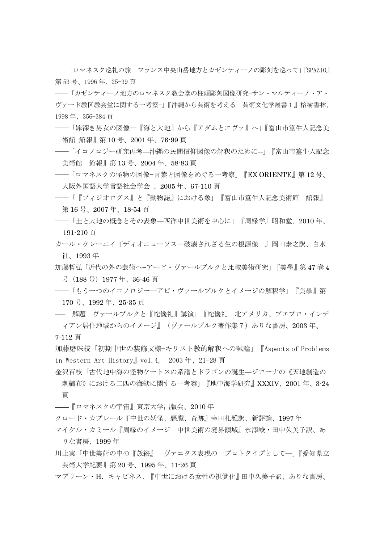――「ロマネスク巡礼の旅‐フランス中央山岳地方とカゼンティーノの彫刻を巡って」『SPAZIO』 第 53 号、1996 年、25-39 頁

――「カゼンティーノ地方のロマネスク教会堂の柱頭彫刻図像研究−サン・マルティーノ・ア・ ヴァード教区教会堂に関する一考察−」『沖縄から芸術を考える 芸術文化学叢書1』榕樹書林、 1998 年、356-384 頁

- ――「罪深き男女の図像―『海と大地』から『アダムとエヴァ』へ」『富山市篁牛人記念美 術館 館報』第 10 号、2001 年、76-99 頁
- ――「イコノロジー研究再考—沖縄の民間信仰図像の解釈のために―」『富山市篁牛人記念 美術館 館報』第 13 号、2004 年、58-83 頁
- ――「ロマネスクの怪物の図像−言葉と図像をめぐる一考察」『EX ORIENTE』第 12 号、 大阪外国語大学言語社会学会 、2005 年、67-110 頁
- ――「『フィジオログス』と『動物誌』における象」『富山市篁牛人記念美術館 館報』 第 16 号、2007 年、18-54 頁
- ――「土と大地の概念とその表象—西洋中世美術を中心に」『周縁学』昭和堂、2010 年、 191-210 頁
- カール・ケレーニイ『ディオニューソス―破壊されざる生の根源像—』岡田素之訳、白水 社、1993 年
- 加藤哲弘「近代の外の芸術へ−アービ・ヴァールブルクと比較美術研究」『美學』第 47 巻 4 号(188 号)1977 年、36-46 頁
- ――「もう一つのイコノロジー―アビ・ヴァールブルクとイメージの解釈学」『美學』第 170 号、1992 年、25-35 頁
- ――「解題 ヴァールブルクと『蛇儀礼』講演」『蛇儀礼 北アメリカ、プエブロ・インデ ィアン居住地域からのイメージ』(ヴァールブルク著作集7)ありな書房、2003 年、
- 7-112 頁

加藤磨珠枝「初期中世の装飾文様−キリスト教的解釈への試論」『Aspects of Problems in Western Art History』vol.4, 2003 年、21-28 頁

金沢百枝「古代地中海の怪物ケートスの系譜とドラゴンの誕生—ジローナの《天地創造の 刺繍布》における二匹の海獣に関する一考察」『地中海学研究』XXXIV、2001 年、3-24 頁

- ——『ロマネスクの宇宙』東京大学出版会、2010 年
- クロード・カプレール『中世の妖怪、悪魔、奇跡』幸田礼雅訳、新評論、1997 年
- マイケル・カミール『周縁のイメージ 中世美術の境界領域』永澤峻・田中久美子訳、あ りな書房、1999 年
- 川上実「中世美術の中の『放縦』—ヴァニタス表現の一プロトタイプとして―」『愛知県立 芸術大学紀要』第 20 号、1995 年、11-26 頁
- マデリーン・H.キャビネス、『中世における女性の視覚化』田中久美子訳、ありな書房、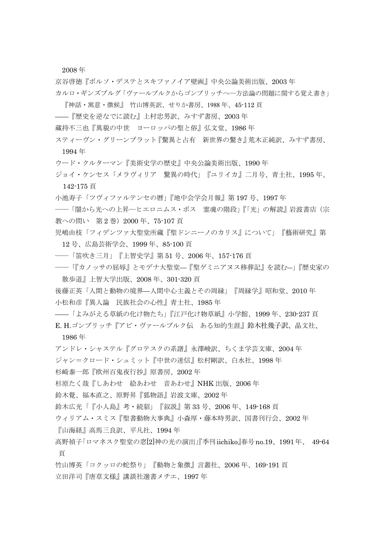2008 年

京谷啓徳『ボルソ・デステとスキファノイア壁画』中央公論美術出版、2003 年 カルロ・ギンズブルグ「ヴァールブルクからゴンブリッチへ―方法論の問題に関する覚え書き」

『神話・寓意・徴候』 竹山博英訳、せりか書房、1988 年、45-112 頁

——『歴史を逆なでに読む』上村忠男訳、みすず書房、2003 年

蔵持不三也『異貌の中世 ヨーロッパの聖と俗』弘文堂、1986 年

スティーヴン・グリーンブラット『驚異と占有 新世界の驚き』荒木正純訳、みすず書房、 1994 年

ウード・クルターマン『美術史学の歴史』中央公論美術出版、1990 年

ジョイ・ケンセス「メラヴィリア 驚異の時代」『ユリイカ』二月号、青土社、1995 年、 142-175 頁

小池寿子「ツヴィファルテンセの暦」『地中会学会月報』第 197 号、1997 年

――「闇から光への上昇―ヒエロニムス・ボス 霊魂の階段」『「光」の解読』岩波書店(宗 教への問い 第2巻) 2000年、75-107 頁

児嶋由枝「フィデンツァ大聖堂所蔵『聖ドンニーノのカリス』について」『藝術研究』第 12 号、広島芸術学会、1999 年、85-100 頁

――「笛吹き三月」『上智史学』第 51 号、2006 年、157-176 頁

――「『カノッサの屈辱』とモデナ大聖堂—『聖ゲミニアヌス移葬記』を読む―」『歴史家の 散歩道』上智大学出版、2008 年、301-320 頁

後藤正英「人間と動物の境界—人間中心主義とその周縁」『周縁学』昭和堂、2010 年 小松和彦『異人論 民族社会の心性』青土社、1985 年

——「よみがえる草紙の化け物たち」『江戸化け物草紙』小学館、1999 年、230-237 頁

E. H.ゴンブリッチ『アビ・ヴァールブルク伝 ある知的生涯』鈴木杜幾子訳、晶文社、 1986 年

アンドレ・シャステル『グロテスクの系譜』永澤峻訳、ちくま学芸文庫、2004 年

ジャン=クロード・シュミット『中世の迷信』松村剛訳、白水社、1998 年

杉崎泰一郎『欧州百鬼夜行抄』原書房、2002 年

杉原たく哉『しあわせ 絵あわせ 音あわせ』NHK 出版、2006 年

鈴木覺、福本直之、原野昇『狐物語』岩波文庫、2002 年

鈴木広光「『小人島』考・続貂」『叙説』第 33 号、2006 年、149-168 頁

ウィリアム・スミス『聖書動物大事典』小森厚・藤本時男訳、国書刊行会、2002 年

『山海経』高馬三良訳、平凡社、1994 年

高野禎子「ロマネスク聖堂の窓[2]神の光の演出」『季刊iichiko』春号no.19、1991年、 49-64 頁

竹山博英「コクッロの蛇祭り」『動物と象徴』言叢社、2006 年、169-191 頁 立田洋司『唐草文様』講談社選書メチエ、1997 年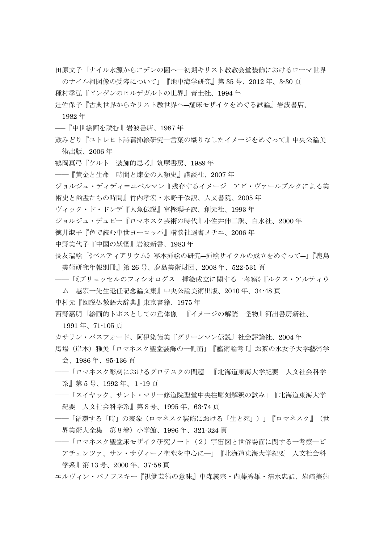田原文子「ナイル水源からエデンの園へ―初期キリスト教教会堂装飾におけるローマ世界

のナイル河図像の受容について」『地中海学研究』第 35 号、2012 年、3-30 頁 種村季弘『ビンゲンのヒルデガルトの世界』青土社、1994 年

辻佐保子『古典世界からキリスト教世界へ―舗床モザイクをめぐる試論』岩波書店、

1982 年

――『中世絵画を読む』岩波書店、1987 年

鼓みどり『ユトレヒト詩篇挿絵研究―言葉の織りなしたイメージをめぐって』中央公論美 術出版、2006 年

鶴岡真弓『ケルト 装飾的思考』筑摩書房、1989 年

――『黄金と生命 時間と煉金の人類史』講談社、2007 年

ジョルジュ・ディディ=ユベルマン『残存するイメージ アビ・ヴァールブルクによる美 術史と幽霊たちの時間』竹内孝宏・水野千依訳、人文書院、2005 年

ヴィック・ド・ドンデ『人魚伝説』富樫瓔子訳、創元社、1993 年

ジョルジュ・デュビー『ロマネスク芸術の時代』小佐井伸二訳、白水社、2000 年

徳井淑子『色で読む中世ヨーロッパ』講談社選書メチエ、2006 年

中野美代子『中国の妖怪』岩波新書、1983 年

長友瑞絵「《ベスティアリウム》写本挿絵の研究―挿絵サイクルの成立をめぐって―」『鹿島 美術研究年報別冊』第 26 号、鹿島美術財団、2008 年、522-531 頁

――「《ブリュッセルのフィシオログス—挿絵成立に関する一考察》『ルクス・アルティウ

ム 越宏一先生退任記念論文集』中央公論美術出版、2010 年、34-48 頁

中村元『図説仏教語大辞典』東京書籍、1975 年

西野嘉明「絵画的トポスとしての重体像」『イメージの解読 怪物』河出書房新社、

1991 年、71-105 頁

カサリン・バスフォード、阿伊染徳美『グリーンマン伝説』社会評論社、2004 年

- 馬場(岸本)雅美「ロマネスク聖堂装飾の一側面」『藝術論考 I』お茶の水女子大学藝術学 会、1986 年、95-136 頁
- ――「ロマネスク彫刻におけるグロテスクの問題」『北海道東海大学紀要 人文社会科学 系』第 5 号、1992 年、1-19 頁
- ――「スイヤック、サント・マリー修道院聖堂中央柱彫刻解釈の試み」『北海道東海大学 紀要 人文社会科学系』第8号、1995 年、63-74 頁
- ――「循環する「時」の表象(ロマネスク装飾における「生と死」)」『ロマネスク』(世 界美術大全集 第8巻)小学館、1996 年、321-324 頁
- ――「ロマネスク聖堂床モザイク研究ノート(2)宇宙図と世俗場面に関する一考察―ピ アチェンツァ、サン・サヴィーノ聖堂を中心に―」『北海道東海大学紀要 人文社会科 学系』第 13 号、2000 年、37-58 頁

エルヴィン・パノフスキー『視覚芸術の意味』中森義宗・内藤秀雄・清水忠訳、岩崎美術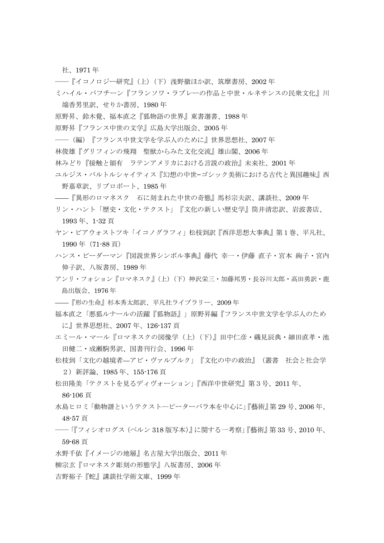社、1971 年

――『イコノロジー研究』(上)(下)浅野徹ほか訳、筑摩書房、2002 年

ミハイル・バフチーン『フランソワ・ラブレーの作品と中世・ルネサンスの民衆文化』川

端香男里訳、せりか書房、1980 年

- 原野昇、鈴木覺、福本直之『狐物語の世界』東書選書、1988 年
- 原野昇『フランス中世の文学』広島大学出版会、2005 年
- ――(編)『フランス中世文学を学ぶ人のために』世界思想社、2007 年
- 林俊雄『グリフィンの飛翔 聖獣からみた文化交流』雄山閣、2006 年
- 林みどり『接触と領有 ラテンアメリカにおける言説の政治』未来社、2001 年
- ユルジス・バルトルシャイティス『幻想の中世−ゴシック美術における古代と異国趣味』西 野嘉章訳、リブロポート、1985 年

——『異形のロマネスク 石に刻まれた中世の奇態』馬杉宗夫訳、講談社、2009 年

- リン・ハント「歴史・文化・テクスト」『文化の新しい歴史学』筒井清忠訳、岩波書店、 1993 年、1-32 頁
- ヤン・ビアウォストツキ「イコノグラフィ」松枝到訳『西洋思想大事典』第1巻、平凡社、 1990 年(71-88 頁)
- ハンス・ビーダーマン『図説世界シンボル事典』藤代 幸一・伊藤 直子・宮本 絢子・宮内 伸子訳、八坂書房、1989 年
- アンリ・フォション『ロマネスク』(上) (下) 神沢栄三・加藤邦男・長谷川太郎・高田勇訳・鹿 島出版会、1976 年
- ——『形の生命』杉本秀太郎訳、平凡社ライブラリー、2009 年
- 福本直之「悪狐ルナールの活躍『狐物語』」原野昇編『フランス中世文学を学ぶ人のため に』世界思想社、2007 年、126-137 頁
- エミール・マール『ロマネスクの図像学(上)(下)』田中仁彦・磯見辰典・細田直孝・池 田健二・成瀬駒男訳、国書刊行会、1996 年
- 松枝到「文化の越境者—アビ・ヴァルブルク」『文化の中の政治』(叢書 社会と社会学 2)新評論、1985 年、155-176 頁
- 松田隆美「テクストを見るディヴォーション」『西洋中世研究』第3号、2011 年、

86-106 頁

水島ヒロミ「動物譜というテクスト―ピーターバラ本を中心に」『藝術』第 29 号、2006 年、 48-57 頁

## ――「『フィシオログス(ベルン 318 版写本)』に関する一考察」『藝術』第 33 号、2010 年、 59-68 頁

水野千依『イメージの地層』名古屋大学出版会、2011 年

柳宗玄『ロマネスク彫刻の形態学』八坂書房、2006 年

吉野裕子『蛇』講談社学術文庫、1999 年